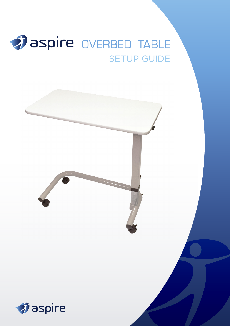

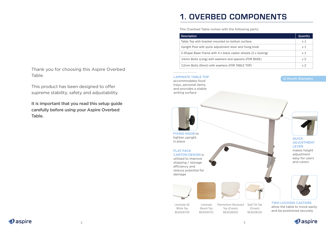Thank you for choosing this Aspire Overbed Table.

This product has been designed to offer supreme stability, safety and adjustability.

It is important that you read this setup guide carefully before using your Aspire Overbed Table.

# **1. OVERBED COMPONENTS**

This Overbed Table comes with the following parts:

| <b>Description</b>                                            | Quantity       |
|---------------------------------------------------------------|----------------|
| Table Top with bracket mounted on bottom surface              | $\times$ 1     |
| Upright Post with quick adjustment lever and fixing knob      | x <sub>1</sub> |
| C-Shape Base Frame with 4 x black castor wheels (2 x locking) | $\times$ 1     |
| 14mm Bolts (Long) with washers and spacers (FOR BASE)         | x <sub>2</sub> |
| 12mm Bolts (Short) with washers (FOR TABLE TOP)               | x <sub>2</sub> |

### LAMINATE TABLE TOP accommodates food

trays, personal items, and provides a stable writing surface



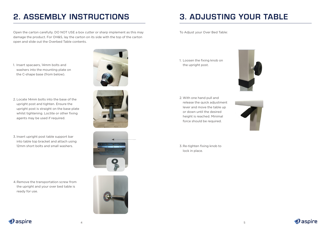## **2. ASSEMBLY INSTRUCTIONS 3. ADJUSTING YOUR TABLE**

Open the carton carefully. DO NOT USE a box cutter or sharp implement as this may damage the product. For OH&S, lay the carton on its side with the top of the carton open and slide out the Overbed Table contents.

1. Insert spacaers, 14mm bolts and washers into the mounting plate on the C-shape base (from below).



- 2. Locate 14mm bolts into the base of the upright post and tighten. Ensure the upright post is straight on the base plate whilst tightening. Loctite or other fixing agents may be used if required.
- 3. Insert upright post table support bar into table top bracket and attach using 12mm short bolts and small washers.

4.Remove the transportation screw from the upright and your over bed table is ready for use.







To Adjust your Over Bed Table:

1. Loosen the fixing knob on the upright post.



2. With one hand pull and release the quick adjustment lever and move the table up or down until the desired height is reached. Minimal force should be required.



3. Re-tighten fixing knob to lock in place.